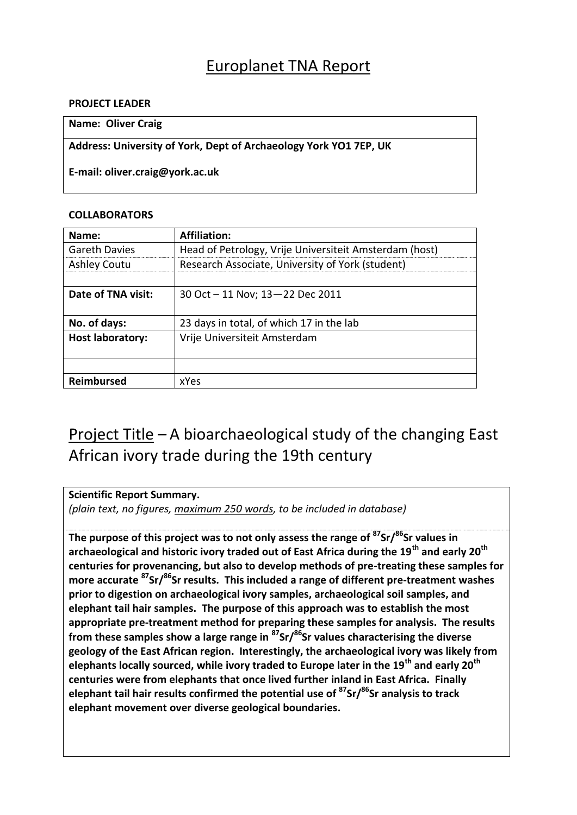### Europlanet TNA Report

#### **PROJECT LEADER**

### **Name: Oliver Craig**

**Address: University of York, Dept of Archaeology York YO1 7EP, UK**

**E-mail: oliver.craig@york.ac.uk**

### **COLLABORATORS**

| Name:                   | <b>Affiliation:</b>                                    |
|-------------------------|--------------------------------------------------------|
| <b>Gareth Davies</b>    | Head of Petrology, Vrije Universiteit Amsterdam (host) |
| <b>Ashley Coutu</b>     | Research Associate, University of York (student)       |
|                         |                                                        |
| Date of TNA visit:      | 30 Oct - 11 Nov; 13-22 Dec 2011                        |
|                         |                                                        |
| No. of days:            | 23 days in total, of which 17 in the lab               |
| <b>Host laboratory:</b> | Vrije Universiteit Amsterdam                           |
|                         |                                                        |
|                         |                                                        |
| Reimbursed              | xYes                                                   |

## Project Title – A bioarchaeological study of the changing East African ivory trade during the 19th century

**Scientific Report Summary.**

*(plain text, no figures, maximum 250 words, to be included in database)*

**The purpose of this project was to not only assess the range of <sup>87</sup>Sr/<sup>86</sup>Sr values in archaeological and historic ivory traded out of East Africa during the 19th and early 20th centuries for provenancing, but also to develop methods of pre-treating these samples for more accurate <sup>87</sup>Sr/<sup>86</sup>Sr results. This included a range of different pre-treatment washes prior to digestion on archaeological ivory samples, archaeological soil samples, and elephant tail hair samples. The purpose of this approach was to establish the most appropriate pre-treatment method for preparing these samples for analysis. The results from these samples show a large range in <sup>87</sup>Sr/<sup>86</sup>Sr values characterising the diverse geology of the East African region. Interestingly, the archaeological ivory was likely from elephants locally sourced, while ivory traded to Europe later in the 19th and early 20th centuries were from elephants that once lived further inland in East Africa. Finally elephant tail hair results confirmed the potential use of <sup>87</sup>Sr/<sup>86</sup>Sr analysis to track elephant movement over diverse geological boundaries.**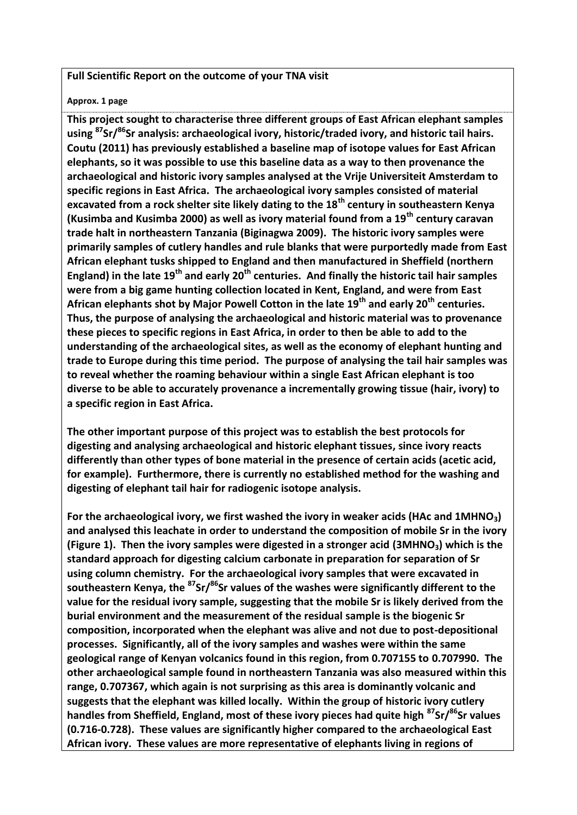### **Full Scientific Report on the outcome of your TNA visit**

#### **Approx. 1 page**

**This project sought to characterise three different groups of East African elephant samples using <sup>87</sup>Sr/<sup>86</sup>Sr analysis: archaeological ivory, historic/traded ivory, and historic tail hairs. Coutu (2011) has previously established a baseline map of isotope values for East African elephants, so it was possible to use this baseline data as a way to then provenance the archaeological and historic ivory samples analysed at the Vrije Universiteit Amsterdam to specific regions in East Africa. The archaeological ivory samples consisted of material excavated from a rock shelter site likely dating to the 18th century in southeastern Kenya (Kusimba and Kusimba 2000) as well as ivory material found from a 19th century caravan trade halt in northeastern Tanzania (Biginagwa 2009). The historic ivory samples were primarily samples of cutlery handles and rule blanks that were purportedly made from East African elephant tusks shipped to England and then manufactured in Sheffield (northern England) in the late 19th and early 20th centuries. And finally the historic tail hair samples were from a big game hunting collection located in Kent, England, and were from East African elephants shot by Major Powell Cotton in the late 19th and early 20th centuries. Thus, the purpose of analysing the archaeological and historic material was to provenance these pieces to specific regions in East Africa, in order to then be able to add to the understanding of the archaeological sites, as well as the economy of elephant hunting and trade to Europe during this time period. The purpose of analysing the tail hair samples was to reveal whether the roaming behaviour within a single East African elephant is too diverse to be able to accurately provenance a incrementally growing tissue (hair, ivory) to a specific region in East Africa.** 

**The other important purpose of this project was to establish the best protocols for digesting and analysing archaeological and historic elephant tissues, since ivory reacts differently than other types of bone material in the presence of certain acids (acetic acid, for example). Furthermore, there is currently no established method for the washing and digesting of elephant tail hair for radiogenic isotope analysis.** 

**For the archaeological ivory, we first washed the ivory in weaker acids (HAc and 1MHNO3) and analysed this leachate in order to understand the composition of mobile Sr in the ivory (Figure 1). Then the ivory samples were digested in a stronger acid (3MHNO3) which is the standard approach for digesting calcium carbonate in preparation for separation of Sr using column chemistry. For the archaeological ivory samples that were excavated in southeastern Kenya, the <sup>87</sup>Sr/<sup>86</sup>Sr values of the washes were significantly different to the value for the residual ivory sample, suggesting that the mobile Sr is likely derived from the burial environment and the measurement of the residual sample is the biogenic Sr composition, incorporated when the elephant was alive and not due to post-depositional processes. Significantly, all of the ivory samples and washes were within the same geological range of Kenyan volcanics found in this region, from 0.707155 to 0.707990. The other archaeological sample found in northeastern Tanzania was also measured within this range, 0.707367, which again is not surprising as this area is dominantly volcanic and suggests that the elephant was killed locally. Within the group of historic ivory cutlery handles from Sheffield, England, most of these ivory pieces had quite high <sup>87</sup>Sr/<sup>86</sup>Sr values (0.716-0.728). These values are significantly higher compared to the archaeological East African ivory. These values are more representative of elephants living in regions of**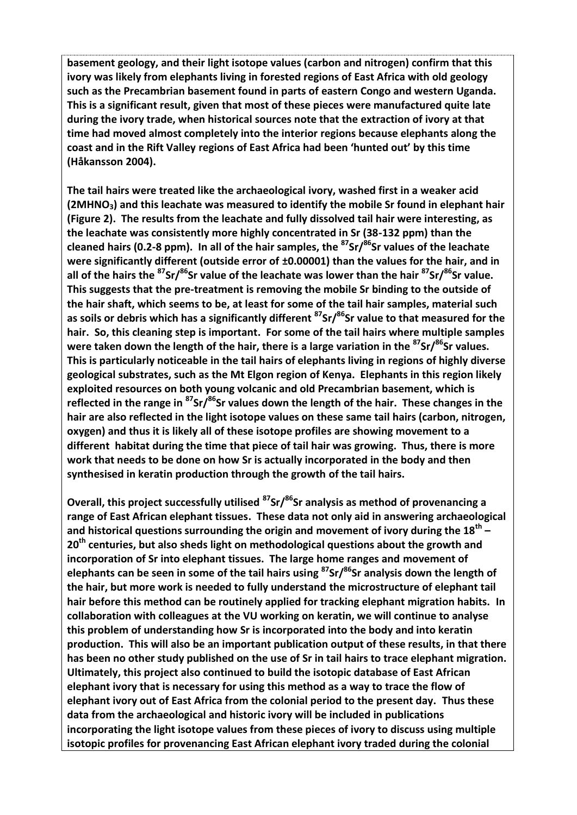**basement geology, and their light isotope values (carbon and nitrogen) confirm that this ivory was likely from elephants living in forested regions of East Africa with old geology such as the Precambrian basement found in parts of eastern Congo and western Uganda. This is a significant result, given that most of these pieces were manufactured quite late during the ivory trade, when historical sources note that the extraction of ivory at that time had moved almost completely into the interior regions because elephants along the coast and in the Rift Valley regions of East Africa had been 'hunted out' by this time (Håkansson 2004).** 

**The tail hairs were treated like the archaeological ivory, washed first in a weaker acid (2MHNO3) and this leachate was measured to identify the mobile Sr found in elephant hair (Figure 2). The results from the leachate and fully dissolved tail hair were interesting, as the leachate was consistently more highly concentrated in Sr (38-132 ppm) than the cleaned hairs (0.2-8 ppm). In all of the hair samples, the <sup>87</sup>Sr/<sup>86</sup>Sr values of the leachate were significantly different (outside error of ±0.00001) than the values for the hair, and in all of the hairs the <sup>87</sup>Sr/<sup>86</sup>Sr value of the leachate was lower than the hair <sup>87</sup>Sr/<sup>86</sup>Sr value. This suggests that the pre-treatment is removing the mobile Sr binding to the outside of the hair shaft, which seems to be, at least for some of the tail hair samples, material such as soils or debris which has a significantly different <sup>87</sup>Sr/<sup>86</sup>Sr value to that measured for the hair. So, this cleaning step is important. For some of the tail hairs where multiple samples were taken down the length of the hair, there is a large variation in the <sup>87</sup>Sr/<sup>86</sup>Sr values. This is particularly noticeable in the tail hairs of elephants living in regions of highly diverse geological substrates, such as the Mt Elgon region of Kenya. Elephants in this region likely exploited resources on both young volcanic and old Precambrian basement, which is reflected in the range in <sup>87</sup>Sr/<sup>86</sup>Sr values down the length of the hair. These changes in the hair are also reflected in the light isotope values on these same tail hairs (carbon, nitrogen, oxygen) and thus it is likely all of these isotope profiles are showing movement to a different habitat during the time that piece of tail hair was growing. Thus, there is more work that needs to be done on how Sr is actually incorporated in the body and then synthesised in keratin production through the growth of the tail hairs.**

**Overall, this project successfully utilised <sup>87</sup>Sr/<sup>86</sup>Sr analysis as method of provenancing a range of East African elephant tissues. These data not only aid in answering archaeological and historical questions surrounding the origin and movement of ivory during the 18th – 20th centuries, but also sheds light on methodological questions about the growth and incorporation of Sr into elephant tissues. The large home ranges and movement of elephants can be seen in some of the tail hairs using <sup>87</sup>Sr/<sup>86</sup>Sr analysis down the length of the hair, but more work is needed to fully understand the microstructure of elephant tail hair before this method can be routinely applied for tracking elephant migration habits. In collaboration with colleagues at the VU working on keratin, we will continue to analyse this problem of understanding how Sr is incorporated into the body and into keratin production. This will also be an important publication output of these results, in that there has been no other study published on the use of Sr in tail hairs to trace elephant migration. Ultimately, this project also continued to build the isotopic database of East African elephant ivory that is necessary for using this method as a way to trace the flow of elephant ivory out of East Africa from the colonial period to the present day. Thus these data from the archaeological and historic ivory will be included in publications incorporating the light isotope values from these pieces of ivory to discuss using multiple isotopic profiles for provenancing East African elephant ivory traded during the colonial**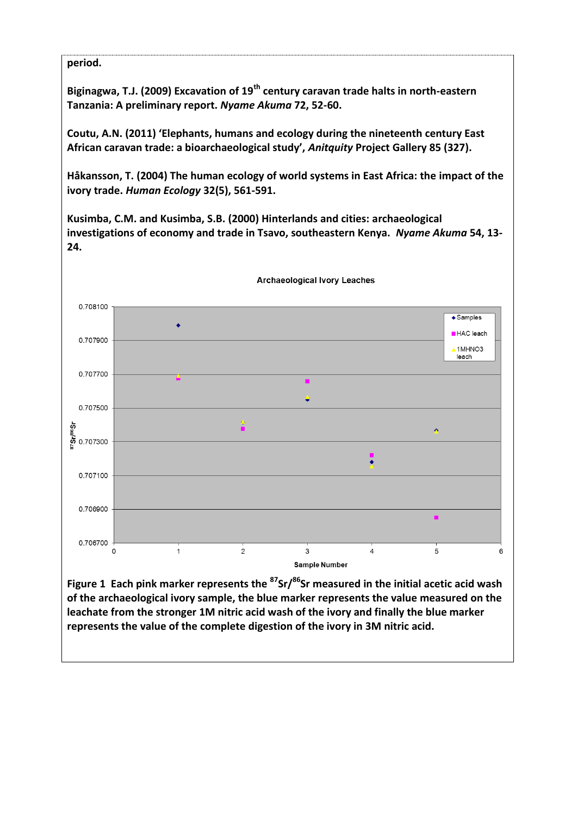### **period.**

**Biginagwa, T.J. (2009) Excavation of 19th century caravan trade halts in north-eastern Tanzania: A preliminary report.** *Nyame Akuma* **72, 52-60.**

**Coutu, A.N. (2011) 'Elephants, humans and ecology during the nineteenth century East African caravan trade: a bioarchaeological study',** *Anitquity* **Project Gallery 85 (327).** 

**Håkansson, T. (2004) The human ecology of world systems in East Africa: the impact of the ivory trade.** *Human Ecology* **32(5), 561-591.**

**Kusimba, C.M. and Kusimba, S.B. (2000) Hinterlands and cities: archaeological investigations of economy and trade in Tsavo, southeastern Kenya.** *Nyame Akuma* **54, 13- 24.**



**of the archaeological ivory sample, the blue marker represents the value measured on the leachate from the stronger 1M nitric acid wash of the ivory and finally the blue marker represents the value of the complete digestion of the ivory in 3M nitric acid.**

**Archaeological Ivory Leaches**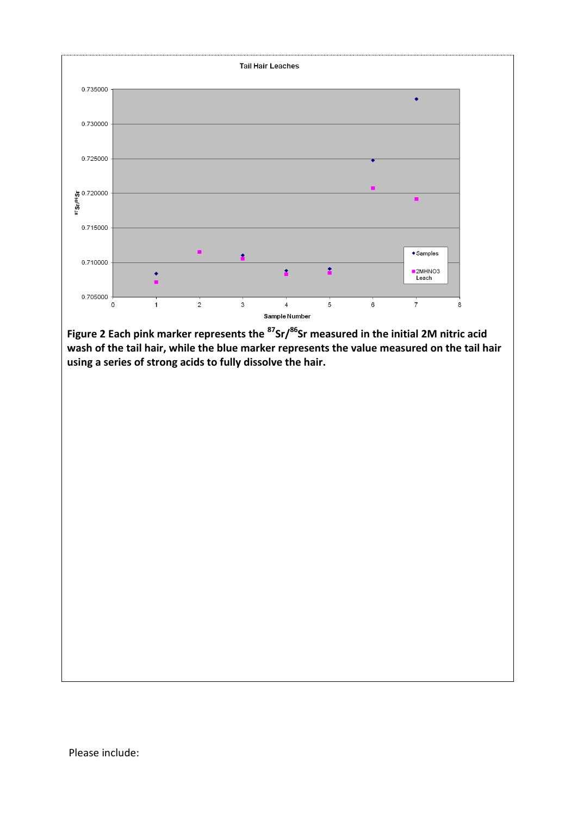

**Figure 2 Each pink marker represents the <sup>87</sup>Sr/<sup>86</sup>Sr measured in the initial 2M nitric acid wash of the tail hair, while the blue marker represents the value measured on the tail hair using a series of strong acids to fully dissolve the hair.**